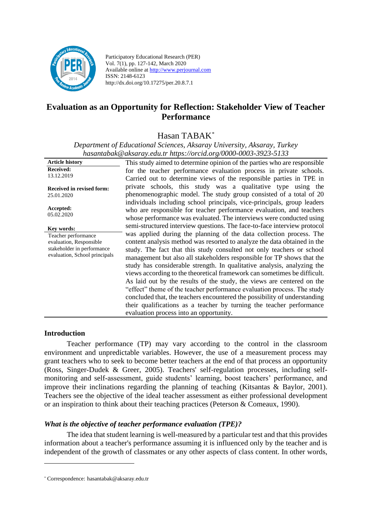

Participatory Educational Research (PER) Vol. 7(1), pp. 127-142, March 2020 Available online at http://www.perjournal.com ISSN: 2148-6123 http://dx.doi.org/10.17275/per.20.8.7.1

# **Evaluation as an Opportunity for Reflection: Stakeholder View of Teacher Performance**

Hasan TABAK*\**

*Department of Educational Sciences, Aksaray University, Aksaray, Turkey [hasantabak@aksaray.edu.tr](mailto:hasantabak@aksaray.edu.tr) https://orcid.org/0000-0003-3923-5133*

| <b>Article history</b>                         | This study aimed to determine opinion of the parties who are responsible  |
|------------------------------------------------|---------------------------------------------------------------------------|
| <b>Received:</b>                               | for the teacher performance evaluation process in private schools.        |
| 13.12.2019                                     | Carried out to determine views of the responsible parties in TPE in       |
| <b>Received in revised form:</b>               | private schools, this study was a qualitative type using the              |
| 25.01.2020                                     | phenomenographic model. The study group consisted of a total of 20        |
|                                                | individuals including school principals, vice-principals, group leaders   |
| Accepted:                                      | who are responsible for teacher performance evaluation, and teachers      |
| 05.02.2020                                     | whose performance was evaluated. The interviews were conducted using      |
|                                                | semi-structured interview questions. The face-to-face interview protocol  |
| Key words:                                     | was applied during the planning of the data collection process. The       |
| Teacher performance<br>evaluation, Responsible | content analysis method was resorted to analyze the data obtained in the  |
| stakeholder in performance                     | study. The fact that this study consulted not only teachers or school     |
| evaluation, School principals                  |                                                                           |
|                                                | management but also all stakeholders responsible for TP shows that the    |
|                                                | study has considerable strength. In qualitative analysis, analyzing the   |
|                                                | views according to the theoretical framework can sometimes be difficult.  |
|                                                | As laid out by the results of the study, the views are centered on the    |
|                                                | "effect" theme of the teacher performance evaluation process. The study   |
|                                                | concluded that, the teachers encountered the possibility of understanding |
|                                                | their qualifications as a teacher by turning the teacher performance      |
|                                                | evaluation process into an opportunity.                                   |

#### **Introduction**

Teacher performance (TP) may vary according to the control in the classroom environment and unpredictable variables. However, the use of a measurement process may grant teachers who to seek to become better teachers at the end of that process an opportunity (Ross, Singer-Dudek & Greer, 2005). Teachers' self-regulation processes, including selfmonitoring and self-assessment, guide students' learning, boost teachers' performance, and improve their inclinations regarding the planning of teaching (Kitsantas & Baylor, 2001). Teachers see the objective of the ideal teacher assessment as either professional development or an inspiration to think about their teaching practices (Peterson & Comeaux, 1990).

#### *What is the objective of teacher performance evaluation (TPE)?*

The idea that student learning is well-measured by a particular test and that this provides information about a teacher's performance assuming it is influenced only by the teacher and is independent of the growth of classmates or any other aspects of class content. In other words,

<sup>\*</sup> Correspondence: [hasantabak@aksaray.edu.tr](mailto:hasantabak@aksaray.edu.tr)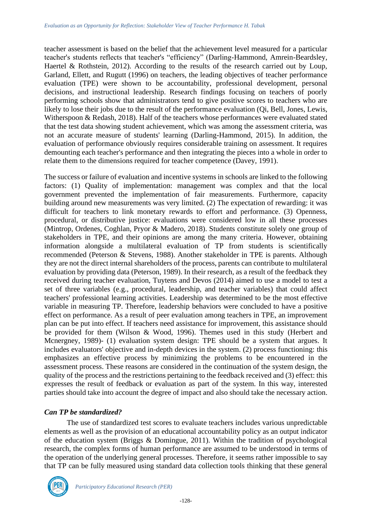teacher assessment is based on the belief that the achievement level measured for a particular teacher's students reflects that teacher's "efficiency" (Darling-Hammond, Amrein-Beardsley, Haertel & Rothstein, 2012). According to the results of the research carried out by Loup, Garland, Ellett, and Rugutt (1996) on teachers, the leading objectives of teacher performance evaluation (TPE) were shown to be accountability, professional development, personal decisions, and instructional leadership. Research findings focusing on teachers of poorly performing schools show that administrators tend to give positive scores to teachers who are likely to lose their jobs due to the result of the performance evaluation (Qi, Bell, Jones, Lewis, Witherspoon & Redash, 2018). Half of the teachers whose performances were evaluated stated that the test data showing student achievement, which was among the assessment criteria, was not an accurate measure of students' learning (Darling-Hammond, 2015). In addition, the evaluation of performance obviously requires considerable training on assessment. It requires demounting each teacher's performance and then integrating the pieces into a whole in order to relate them to the dimensions required for teacher competence (Davey, 1991).

The success or failure of evaluation and incentive systems in schools are linked to the following factors: (1) Quality of implementation: management was complex and that the local government prevented the implementation of fair measurements. Furthermore, capacity building around new measurements was very limited. (2) The expectation of rewarding: it was difficult for teachers to link monetary rewards to effort and performance. (3) Openness, procedural, or distributive justice: evaluations were considered low in all these processes (Mintrop, Ordenes, Coghlan, Pryor & Madero, 2018). Students constitute solely one group of stakeholders in TPE, and their opinions are among the many criteria. However, obtaining information alongside a multilateral evaluation of TP from students is scientifically recommended (Peterson & Stevens, 1988). Another stakeholder in TPE is parents. Although they are not the direct internal shareholders of the process, parents can contribute to multilateral evaluation by providing data (Peterson, 1989). In their research, as a result of the feedback they received during teacher evaluation, Tuytens and Devos (2014) aimed to use a model to test a set of three variables (e.g., procedural, leadership, and teacher variables) that could affect teachers' professional learning activities. Leadership was determined to be the most effective variable in measuring TP. Therefore, leadership behaviors were concluded to have a positive effect on performance. As a result of peer evaluation among teachers in TPE, an improvement plan can be put into effect. If teachers need assistance for improvement, this assistance should be provided for them (Wilson & Wood, 1996). Themes used in this study (Herbert and Mcnergney, 1989)- (1) evaluation system design: TPE should be a system that argues. It includes evaluators' objective and in-depth devices in the system. (2) process functioning: this emphasizes an effective process by minimizing the problems to be encountered in the assessment process. These reasons are considered in the continuation of the system design, the quality of the process and the restrictions pertaining to the feedback received and (3) effect: this expresses the result of feedback or evaluation as part of the system. In this way, interested parties should take into account the degree of impact and also should take the necessary action.

# *Can TP be standardized?*

The use of standardized test scores to evaluate teachers includes various unpredictable elements as well as the provision of an educational accountability policy as an output indicator of the education system (Briggs & Domingue, 2011). Within the tradition of psychological research, the complex forms of human performance are assumed to be understood in terms of the operation of the underlying general processes. Therefore, it seems rather impossible to say that TP can be fully measured using standard data collection tools thinking that these general

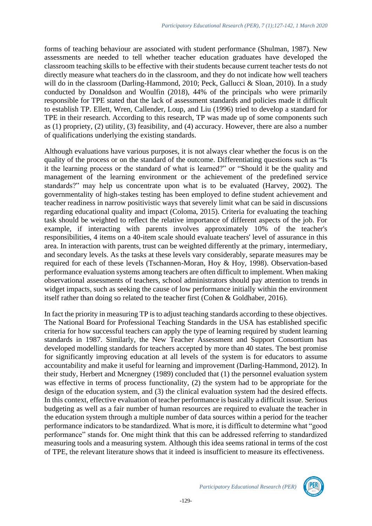forms of teaching behaviour are associated with student performance (Shulman, 1987). New assessments are needed to tell whether teacher education graduates have developed the classroom teaching skills to be effective with their students because current teacher tests do not directly measure what teachers do in the classroom, and they do not indicate how well teachers will do in the classroom (Darling-Hammond, 2010; Peck, Gallucci & Sloan, 2010). In a study conducted by Donaldson and Woulfin (2018), 44% of the principals who were primarily responsible for TPE stated that the lack of assessment standards and policies made it difficult to establish TP. Ellett, Wren, Callender, Loup, and Liu (1996) tried to develop a standard for TPE in their research. According to this research, TP was made up of some components such as (1) propriety, (2) utility, (3) feasibility, and (4) accuracy. However, there are also a number of qualifications underlying the existing standards.

Although evaluations have various purposes, it is not always clear whether the focus is on the quality of the process or on the standard of the outcome. Differentiating questions such as "Is it the learning process or the standard of what is learned?" or "Should it be the quality and management of the learning environment or the achievement of the predefined service standards?" may help us concentrate upon what is to be evaluated (Harvey, 2002). The governmentality of high-stakes testing has been employed to define student achievement and teacher readiness in narrow positivistic ways that severely limit what can be said in discussions regarding educational quality and impact (Coloma, 2015). Criteria for evaluating the teaching task should be weighted to reflect the relative importance of different aspects of the job. For example, if interacting with parents involves approximately 10% of the teacher's responsibilities, 4 items on a 40-item scale should evaluate teachers' level of assurance in this area. In interaction with parents, trust can be weighted differently at the primary, intermediary, and secondary levels. As the tasks at these levels vary considerably, separate measures may be required for each of these levels (Tschannen-Moran, Hoy & Hoy, 1998). Observation-based performance evaluation systems among teachers are often difficult to implement. When making observational assessments of teachers, school administrators should pay attention to trends in widget impacts, such as seeking the cause of low performance initially within the environment itself rather than doing so related to the teacher first (Cohen & Goldhaber, 2016).

In fact the priority in measuring TP is to adjust teaching standards according to these objectives. The National Board for Professional Teaching Standards in the USA has established specific criteria for how successful teachers can apply the type of learning required by student learning standards in 1987. Similarly, the New Teacher Assessment and Support Consortium has developed modelling standards for teachers accepted by more than 40 states. The best promise for significantly improving education at all levels of the system is for educators to assume accountability and make it useful for learning and improvement (Darling-Hammond, 2012). In their study, Herbert and Mcnergney (1989) concluded that (1) the personnel evaluation system was effective in terms of process functionality, (2) the system had to be appropriate for the design of the education system, and (3) the clinical evaluation system had the desired effects. In this context, effective evaluation of teacher performance is basically a difficult issue. Serious budgeting as well as a fair number of human resources are required to evaluate the teacher in the education system through a multiple number of data sources within a period for the teacher performance indicators to be standardized. What is more, it is difficult to determine what "good performance" stands for. One might think that this can be addressed referring to standardized measuring tools and a measuring system. Although this idea seems rational in terms of the cost of TPE, the relevant literature shows that it indeed is insufficient to measure its effectiveness.

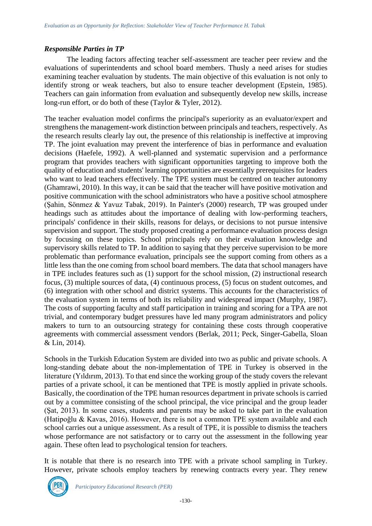# *Responsible Parties in TP*

The leading factors affecting teacher self-assessment are teacher peer review and the evaluations of superintendents and school board members. Thusly a need arises for studies examining teacher evaluation by students. The main objective of this evaluation is not only to identify strong or weak teachers, but also to ensure teacher development (Epstein, 1985). Teachers can gain information from evaluation and subsequently develop new skills, increase long-run effort, or do both of these (Taylor & Tyler, 2012).

The teacher evaluation model confirms the principal's superiority as an evaluator/expert and strengthens the management-work distinction between principals and teachers, respectively. As the research results clearly lay out, the presence of this relationship is ineffective at improving TP. The joint evaluation may prevent the interference of bias in performance and evaluation decisions (Haefele, 1992). A well-planned and systematic supervision and a performance program that provides teachers with significant opportunities targeting to improve both the quality of education and students' learning opportunities are essentially prerequisites for leaders who want to lead teachers effectively. The TPE system must be centred on teacher autonomy (Ghamrawi, 2010). In this way, it can be said that the teacher will have positive motivation and positive communication with the school administrators who have a positive school atmosphere (Şahin, Sönmez & Yavuz Tabak, 2019). In Painter's (2000) research, TP was grouped under headings such as attitudes about the importance of dealing with low-performing teachers, principals' confidence in their skills, reasons for delays, or decisions to not pursue intensive supervision and support. The study proposed creating a performance evaluation process design by focusing on these topics. School principals rely on their evaluation knowledge and supervisory skills related to TP. In addition to saying that they perceive supervision to be more problematic than performance evaluation, principals see the support coming from others as a little less than the one coming from school board members. The data that school managers have in TPE includes features such as (1) support for the school mission, (2) instructional research focus, (3) multiple sources of data, (4) continuous process, (5) focus on student outcomes, and (6) integration with other school and district systems. This accounts for the characteristics of the evaluation system in terms of both its reliability and widespread impact (Murphy, 1987). The costs of supporting faculty and staff participation in training and scoring for a TPA are not trivial, and contemporary budget pressures have led many program administrators and policy makers to turn to an outsourcing strategy for containing these costs through cooperative agreements with commercial assessment vendors (Berlak, 2011; Peck, Singer-Gabella, Sloan & Lin, 2014).

Schools in the Turkish Education System are divided into two as public and private schools. A long-standing debate about the non-implementation of TPE in Turkey is observed in the literature (Yıldırım, 2013). To that end since the working group of the study covers the relevant parties of a private school, it can be mentioned that TPE is mostly applied in private schools. Basically, the coordination of the TPE human resources department in private schools is carried out by a committee consisting of the school principal, the vice principal and the group leader (Şat, 2013). In some cases, students and parents may be asked to take part in the evaluation (Hatipoğlu & Kavas, 2016). However, there is not a common TPE system available and each school carries out a unique assessment. As a result of TPE, it is possible to dismiss the teachers whose performance are not satisfactory or to carry out the assessment in the following year again. These often lead to psychological tension for teachers.

It is notable that there is no research into TPE with a private school sampling in Turkey. However, private schools employ teachers by renewing contracts every year. They renew

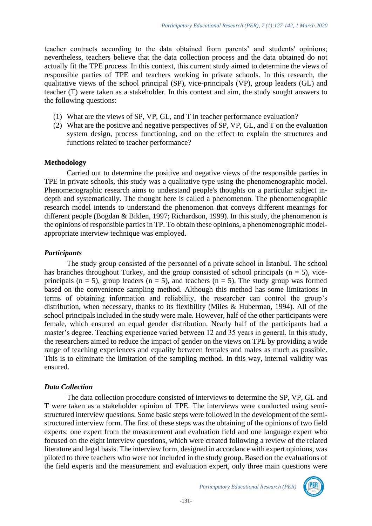teacher contracts according to the data obtained from parents' and students' opinions; nevertheless, teachers believe that the data collection process and the data obtained do not actually fit the TPE process. In this context, this current study aimed to determine the views of responsible parties of TPE and teachers working in private schools. In this research, the qualitative views of the school principal (SP), vice-principals (VP), group leaders (GL) and teacher (T) were taken as a stakeholder. In this context and aim, the study sought answers to the following questions:

- (1) What are the views of SP, VP, GL, and T in teacher performance evaluation?
- (2) What are the positive and negative perspectives of SP, VP, GL, and T on the evaluation system design, process functioning, and on the effect to explain the structures and functions related to teacher performance?

#### **Methodology**

Carried out to determine the positive and negative views of the responsible parties in TPE in private schools, this study was a qualitative type using the phenomenographic model. Phenomenographic research aims to understand people's thoughts on a particular subject indepth and systematically. The thought here is called a phenomenon. The phenomenographic research model intends to understand the phenomenon that conveys different meanings for different people (Bogdan & Biklen, 1997; Richardson, 1999). In this study, the phenomenon is the opinions of responsible parties in TP. To obtain these opinions, a phenomenographic modelappropriate interview technique was employed.

### *Participants*

The study group consisted of the personnel of a private school in İstanbul. The school has branches throughout Turkey, and the group consisted of school principals  $(n = 5)$ , viceprincipals ( $n = 5$ ), group leaders ( $n = 5$ ), and teachers ( $n = 5$ ). The study group was formed based on the convenience sampling method. Although this method has some limitations in terms of obtaining information and reliability, the researcher can control the group's distribution, when necessary, thanks to its flexibility (Miles & Huberman, 1994). All of the school principals included in the study were male. However, half of the other participants were female, which ensured an equal gender distribution. Nearly half of the participants had a master's degree. Teaching experience varied between 12 and 35 years in general. In this study, the researchers aimed to reduce the impact of gender on the views on TPE by providing a wide range of teaching experiences and equality between females and males as much as possible. This is to eliminate the limitation of the sampling method. In this way, internal validity was ensured.

#### *Data Collection*

The data collection procedure consisted of interviews to determine the SP, VP, GL and T were taken as a stakeholder opinion of TPE. The interviews were conducted using semistructured interview questions. Some basic steps were followed in the development of the semistructured interview form. The first of these steps was the obtaining of the opinions of two field experts: one expert from the measurement and evaluation field and one language expert who focused on the eight interview questions, which were created following a review of the related literature and legal basis. The interview form, designed in accordance with expert opinions, was piloted to three teachers who were not included in the study group. Based on the evaluations of the field experts and the measurement and evaluation expert, only three main questions were

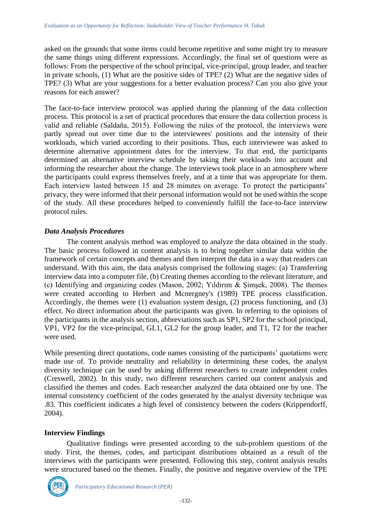asked on the grounds that some items could become repetitive and some might try to measure the same things using different expressions. Accordingly, the final set of questions were as follows: From the perspective of the school principal, vice-principal, group leader, and teacher in private schools, (1) What are the positive sides of TPE? (2) What are the negative sides of TPE? (3) What are your suggestions for a better evaluation process? Can you also give your reasons for each answer?

The face-to-face interview protocol was applied during the planning of the data collection process. This protocol is a set of practical procedures that ensure the data collection process is valid and reliable (Saldaña, 2015). Following the rules of the protocol, the interviews were partly spread out over time due to the interviewees' positions and the intensity of their workloads, which varied according to their positions. Thus, each interviewee was asked to determine alternative appointment dates for the interview. To that end, the participants determined an alternative interview schedule by taking their workloads into account and informing the researcher about the change. The interviews took place in an atmosphere where the participants could express themselves freely, and at a time that was appropriate for them. Each interview lasted between 15 and 28 minutes on average. To protect the participants' privacy, they were informed that their personal information would not be used within the scope of the study. All these procedures helped to conveniently fulfill the face-to-face interview protocol rules.

### *Data Analysis Procedures*

The content analysis method was employed to analyze the data obtained in the study. The basic process followed in content analysis is to bring together similar data within the framework of certain concepts and themes and then interpret the data in a way that readers can understand. With this aim, the data analysis comprised the following stages: (a) Transferring interview data into a computer file, (b) Creating themes according to the relevant literature, and (c) Identifying and organizing codes (Mason, 2002; Yıldırım & Şimşek, 2008). The themes were created according to Herbert and Mcnergney's (1989) TPE process classification. Accordingly, the themes were (1) evaluation system design, (2) process functioning, and (3) effect. No direct information about the participants was given. In referring to the opinions of the participants in the analysis section, abbreviations such as SP1, SP2 for the school principal, VP1, VP2 for the vice-principal, GL1, GL2 for the group leader, and T1, T2 for the teacher were used.

While presenting direct quotations, code names consisting of the participants' quotations were made use of. To provide neutrality and reliability in determining these codes, the analyst diversity technique can be used by asking different researchers to create independent codes (Creswell, 2002). In this study, two different researchers carried out content analysis and classified the themes and codes. Each researcher analyzed the data obtained one by one. The internal consistency coefficient of the codes generated by the analyst diversity technique was .83. This coefficient indicates a high level of consistency between the coders (Krippendorff, 2004).

#### **Interview Findings**

Qualitative findings were presented according to the sub-problem questions of the study. First, the themes, codes, and participant distributions obtained as a result of the interviews with the participants were presented. Following this step, content analysis results were structured based on the themes. Finally, the positive and negative overview of the TPE

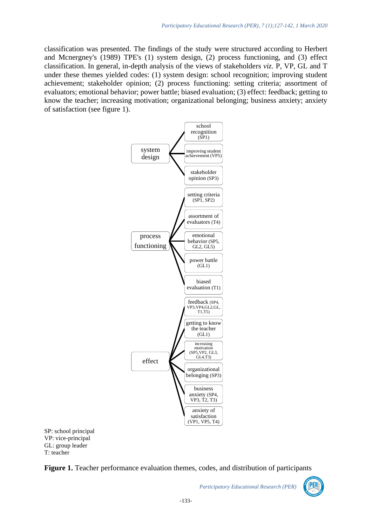classification was presented. The findings of the study were structured according to Herbert and Mcnergney's (1989) TPE's (1) system design, (2) process functioning, and (3) effect classification. In general, in-depth analysis of the views of stakeholders *viz.* P, VP, GL and T under these themes yielded codes: (1) system design: school recognition; improving student achievement; stakeholder opinion; (2) process functioning: setting criteria; assortment of evaluators; emotional behavior; power battle; biased evaluation; (3) effect: feedback; getting to know the teacher; increasing motivation; organizational belonging; business anxiety; anxiety of satisfaction (see figure 1).



SP: school principal VP: vice-principal GL: group leader T: teacher

**Figure 1.** Teacher performance evaluation themes, codes, and distribution of participants

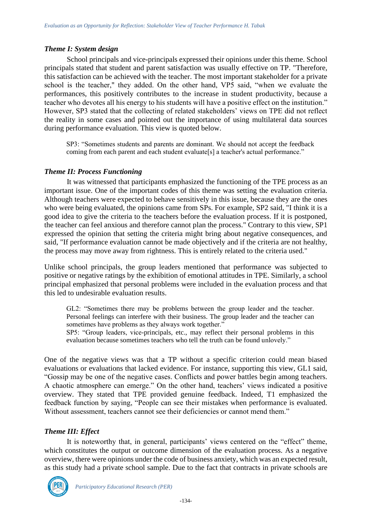### *Theme I: System design*

School principals and vice-principals expressed their opinions under this theme. School principals stated that student and parent satisfaction was usually effective on TP. "Therefore, this satisfaction can be achieved with the teacher. The most important stakeholder for a private school is the teacher," they added. On the other hand, VP5 said, "when we evaluate the performances, this positively contributes to the increase in student productivity, because a teacher who devotes all his energy to his students will have a positive effect on the institution." However, SP3 stated that the collecting of related stakeholders' views on TPE did not reflect the reality in some cases and pointed out the importance of using multilateral data sources during performance evaluation. This view is quoted below.

SP3: "Sometimes students and parents are dominant. We should not accept the feedback coming from each parent and each student evaluate[s] a teacher's actual performance."

### *Theme II: Process Functioning*

It was witnessed that participants emphasized the functioning of the TPE process as an important issue. One of the important codes of this theme was setting the evaluation criteria. Although teachers were expected to behave sensitively in this issue, because they are the ones who were being evaluated, the opinions came from SPs. For example, SP2 said, "I think it is a good idea to give the criteria to the teachers before the evaluation process. If it is postponed, the teacher can feel anxious and therefore cannot plan the process." Contrary to this view, SP1 expressed the opinion that setting the criteria might bring about negative consequences, and said, "If performance evaluation cannot be made objectively and if the criteria are not healthy, the process may move away from rightness. This is entirely related to the criteria used."

Unlike school principals, the group leaders mentioned that performance was subjected to positive or negative ratings by the exhibition of emotional attitudes in TPE. Similarly, a school principal emphasized that personal problems were included in the evaluation process and that this led to undesirable evaluation results.

GL2: "Sometimes there may be problems between the group leader and the teacher. Personal feelings can interfere with their business. The group leader and the teacher can sometimes have problems as they always work together." SP5: "Group leaders, vice-principals, etc., may reflect their personal problems in this evaluation because sometimes teachers who tell the truth can be found unlovely."

One of the negative views was that a TP without a specific criterion could mean biased evaluations or evaluations that lacked evidence. For instance, supporting this view, GL1 said, "Gossip may be one of the negative cases. Conflicts and power battles begin among teachers. A chaotic atmosphere can emerge." On the other hand, teachers' views indicated a positive overview. They stated that TPE provided genuine feedback. Indeed, T1 emphasized the feedback function by saying, "People can see their mistakes when performance is evaluated. Without assessment, teachers cannot see their deficiencies or cannot mend them."

# *Theme III: Effect*

It is noteworthy that, in general, participants' views centered on the "effect" theme, which constitutes the output or outcome dimension of the evaluation process. As a negative overview, there were opinions under the code of business anxiety, which was an expected result, as this study had a private school sample. Due to the fact that contracts in private schools are

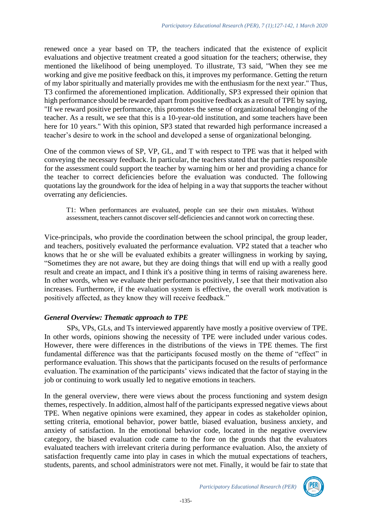renewed once a year based on TP, the teachers indicated that the existence of explicit evaluations and objective treatment created a good situation for the teachers; otherwise, they mentioned the likelihood of being unemployed. To illustrate, T3 said, "When they see me working and give me positive feedback on this, it improves my performance. Getting the return of my labor spiritually and materially provides me with the enthusiasm for the next year." Thus, T3 confirmed the aforementioned implication. Additionally, SP3 expressed their opinion that high performance should be rewarded apart from positive feedback as a result of TPE by saying, "If we reward positive performance, this promotes the sense of organizational belonging of the teacher. As a result, we see that this is a 10-year-old institution, and some teachers have been here for 10 years." With this opinion, SP3 stated that rewarded high performance increased a teacher's desire to work in the school and developed a sense of organizational belonging.

One of the common views of SP, VP, GL, and T with respect to TPE was that it helped with conveying the necessary feedback. In particular, the teachers stated that the parties responsible for the assessment could support the teacher by warning him or her and providing a chance for the teacher to correct deficiencies before the evaluation was conducted. The following quotations lay the groundwork for the idea of helping in a way that supports the teacher without overrating any deficiencies.

T1: When performances are evaluated, people can see their own mistakes. Without assessment, teachers cannot discover self-deficiencies and cannot work on correcting these.

Vice-principals, who provide the coordination between the school principal, the group leader, and teachers, positively evaluated the performance evaluation. VP2 stated that a teacher who knows that he or she will be evaluated exhibits a greater willingness in working by saying, "Sometimes they are not aware, but they are doing things that will end up with a really good result and create an impact, and I think it's a positive thing in terms of raising awareness here. In other words, when we evaluate their performance positively, I see that their motivation also increases. Furthermore, if the evaluation system is effective, the overall work motivation is positively affected, as they know they will receive feedback."

#### *General Overview: Thematic approach to TPE*

SPs, VPs, GLs, and Ts interviewed apparently have mostly a positive overview of TPE. In other words, opinions showing the necessity of TPE were included under various codes. However, there were differences in the distributions of the views in TPE themes. The first fundamental difference was that the participants focused mostly on the theme of "effect" in performance evaluation. This shows that the participants focused on the results of performance evaluation. The examination of the participants' views indicated that the factor of staying in the job or continuing to work usually led to negative emotions in teachers.

In the general overview, there were views about the process functioning and system design themes, respectively. In addition, almost half of the participants expressed negative views about TPE. When negative opinions were examined, they appear in codes as stakeholder opinion, setting criteria, emotional behavior, power battle, biased evaluation, business anxiety, and anxiety of satisfaction. In the emotional behavior code, located in the negative overview category, the biased evaluation code came to the fore on the grounds that the evaluators evaluated teachers with irrelevant criteria during performance evaluation. Also, the anxiety of satisfaction frequently came into play in cases in which the mutual expectations of teachers, students, parents, and school administrators were not met. Finally, it would be fair to state that

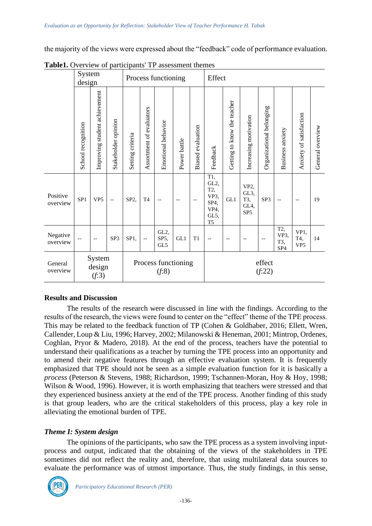the majority of the views were expressed about the "feedback" code of performance evaluation.

|                      | System<br>design   |                               |                     | Process functioning          |                          |                                  |              |                      | Effect                                                               |                             |                                                           |                          |                                       |                                |                  |
|----------------------|--------------------|-------------------------------|---------------------|------------------------------|--------------------------|----------------------------------|--------------|----------------------|----------------------------------------------------------------------|-----------------------------|-----------------------------------------------------------|--------------------------|---------------------------------------|--------------------------------|------------------|
|                      | School recognition | Improving student achievement | Stakeholder opinion | Setting criteria             | Assortment of evaluators | Emotional behavior               | Power battle | evaluation<br>Biased | Feedback                                                             | Getting to know the teacher | Increasing motivation                                     | Organizational belonging | Business anxiety                      | Anxiety of satisfaction        | General overview |
| Positive<br>overview | SP <sub>1</sub>    | VP <sub>5</sub>               | $-$                 | SP <sub>2</sub>              | T <sub>4</sub>           | $\overline{\phantom{m}}$         | $-$          |                      | T1,<br>GL2,<br>T2,<br>VP3,<br>SP4,<br>VP4,<br>GL5,<br>T <sub>5</sub> | GL1                         | VP <sub>2</sub><br>GL3,<br>T3,<br>GL4,<br>SP <sub>5</sub> | SP3                      | $\qquad \qquad -$                     | $\qquad \qquad -$              | 19               |
| Negative<br>overview |                    | $-$                           | SP3                 | SP1,                         |                          | GL <sub>2</sub> ,<br>SP5,<br>GL5 | GL1          | T1                   | $-$                                                                  |                             |                                                           |                          | T2,<br>VP3,<br>T3,<br>SP <sub>4</sub> | VP1,<br>T4,<br>VP <sub>5</sub> | 14               |
| General<br>overview  |                    | System<br>design<br>(f:3)     |                     | Process functioning<br>(f:8) |                          |                                  |              | effect<br>(f:22)     |                                                                      |                             |                                                           |                          |                                       |                                |                  |

**Table1.** Overview of participants' TP assessment themes

# **Results and Discussion**

The results of the research were discussed in line with the findings. According to the results of the research, the views were found to center on the "effect" theme of the TPE process. This may be related to the feedback function of TP (Cohen & Goldhaber, 2016; Ellett, Wren, Callender, Loup & Liu, 1996; Harvey, 2002; Milanowski & Heneman, 2001; Mintrop, Ordenes, Coghlan, Pryor & Madero, 2018). At the end of the process, teachers have the potential to understand their qualifications as a teacher by turning the TPE process into an opportunity and to amend their negative features through an effective evaluation system. It is frequently emphasized that TPE should not be seen as a simple evaluation function for it is basically a *process* (Peterson & Stevens, 1988; Richardson, 1999; Tschannen-Moran, Hoy & Hoy, 1998; Wilson & Wood, 1996). However, it is worth emphasizing that teachers were stressed and that they experienced business anxiety at the end of the TPE process. Another finding of this study is that group leaders, who are the critical stakeholders of this process, play a key role in alleviating the emotional burden of TPE.

# *Theme I: System design*

The opinions of the participants, who saw the TPE process as a system involving inputprocess and output, indicated that the obtaining of the views of the stakeholders in TPE sometimes did not reflect the reality and, therefore, that using multilateral data sources to evaluate the performance was of utmost importance. Thus, the study findings, in this sense,

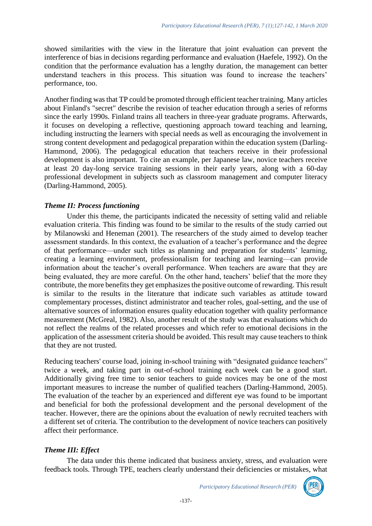showed similarities with the view in the literature that joint evaluation can prevent the interference of bias in decisions regarding performance and evaluation (Haefele, 1992). On the condition that the performance evaluation has a lengthy duration, the management can better understand teachers in this process. This situation was found to increase the teachers' performance, too.

Another finding was that TP could be promoted through efficient teacher training. Many articles about Finland's "secret" describe the revision of teacher education through a series of reforms since the early 1990s. Finland trains all teachers in three-year graduate programs. Afterwards, it focuses on developing a reflective, questioning approach toward teaching and learning, including instructing the learners with special needs as well as encouraging the involvement in strong content development and pedagogical preparation within the education system (Darling-Hammond, 2006). The pedagogical education that teachers receive in their professional development is also important. To cite an example, per Japanese law, novice teachers receive at least 20 day-long service training sessions in their early years, along with a 60-day professional development in subjects such as classroom management and computer literacy (Darling-Hammond, 2005).

# *Theme II: Process functioning*

Under this theme, the participants indicated the necessity of setting valid and reliable evaluation criteria. This finding was found to be similar to the results of the study carried out by Milanowski and Heneman (2001). The researchers of the study aimed to develop teacher assessment standards. In this context, the evaluation of a teacher's performance and the degree of that performance—under such titles as planning and preparation for students' learning, creating a learning environment, professionalism for teaching and learning—can provide information about the teacher's overall performance. When teachers are aware that they are being evaluated, they are more careful. On the other hand, teachers' belief that the more they contribute, the more benefits they get emphasizes the positive outcome of rewarding. This result is similar to the results in the literature that indicate such variables as attitude toward complementary processes, distinct administrator and teacher roles, goal-setting, and the use of alternative sources of information ensures quality education together with quality performance measurement (McGreal, 1982). Also, another result of the study was that evaluations which do not reflect the realms of the related processes and which refer to emotional decisions in the application of the assessment criteria should be avoided. This result may cause teachers to think that they are not trusted.

Reducing teachers' course load, joining in-school training with "designated guidance teachers" twice a week, and taking part in out-of-school training each week can be a good start. Additionally giving free time to senior teachers to guide novices may be one of the most important measures to increase the number of qualified teachers (Darling-Hammond, 2005). The evaluation of the teacher by an experienced and different eye was found to be important and beneficial for both the professional development and the personal development of the teacher. However, there are the opinions about the evaluation of newly recruited teachers with a different set of criteria. The contribution to the development of novice teachers can positively affect their performance.

# *Theme III: Effect*

The data under this theme indicated that business anxiety, stress, and evaluation were feedback tools. Through TPE, teachers clearly understand their deficiencies or mistakes, what

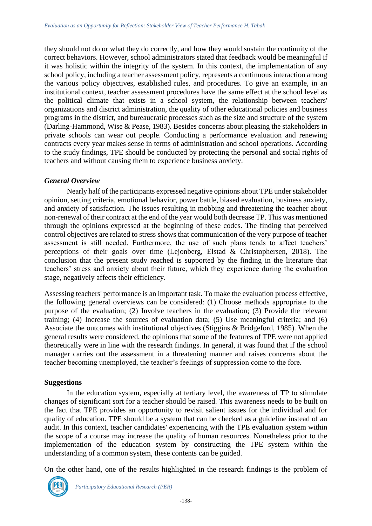they should not do or what they do correctly, and how they would sustain the continuity of the correct behaviors. However, school administrators stated that feedback would be meaningful if it was holistic within the integrity of the system. In this context, the implementation of any school policy, including a teacher assessment policy, represents a continuous interaction among the various policy objectives, established rules, and procedures. To give an example, in an institutional context, teacher assessment procedures have the same effect at the school level as the political climate that exists in a school system, the relationship between teachers' organizations and district administration, the quality of other educational policies and business programs in the district, and bureaucratic processes such as the size and structure of the system (Darling-Hammond, Wise & Pease, 1983). Besides concerns about pleasing the stakeholders in private schools can wear out people. Conducting a performance evaluation and renewing contracts every year makes sense in terms of administration and school operations. According to the study findings, TPE should be conducted by protecting the personal and social rights of teachers and without causing them to experience business anxiety.

### *General Overview*

Nearly half of the participants expressed negative opinions about TPE under stakeholder opinion, setting criteria, emotional behavior, power battle, biased evaluation, business anxiety, and anxiety of satisfaction. The issues resulting in mobbing and threatening the teacher about non-renewal of their contract at the end of the year would both decrease TP. This was mentioned through the opinions expressed at the beginning of these codes. The finding that perceived control objectives are related to stress shows that communication of the very purpose of teacher assessment is still needed. Furthermore, the use of such plans tends to affect teachers' perceptions of their goals over time (Lejonberg, Elstad & Christophersen, 2018). The conclusion that the present study reached is supported by the finding in the literature that teachers' stress and anxiety about their future, which they experience during the evaluation stage, negatively affects their efficiency.

Assessing teachers' performance is an important task. To make the evaluation process effective, the following general overviews can be considered: (1) Choose methods appropriate to the purpose of the evaluation; (2) Involve teachers in the evaluation; (3) Provide the relevant training; (4) Increase the sources of evaluation data; (5) Use meaningful criteria; and (6) Associate the outcomes with institutional objectives (Stiggins & Bridgeford, 1985). When the general results were considered, the opinions that some of the features of TPE were not applied theoretically were in line with the research findings. In general, it was found that if the school manager carries out the assessment in a threatening manner and raises concerns about the teacher becoming unemployed, the teacher's feelings of suppression come to the fore.

# **Suggestions**

In the education system, especially at tertiary level, the awareness of TP to stimulate changes of significant sort for a teacher should be raised. This awareness needs to be built on the fact that TPE provides an opportunity to revisit salient issues for the individual and for quality of education. TPE should be a system that can be checked as a guideline instead of an audit. In this context, teacher candidates' experiencing with the TPE evaluation system within the scope of a course may increase the quality of human resources. Nonetheless prior to the implementation of the education system by constructing the TPE system within the understanding of a common system, these contents can be guided.

On the other hand, one of the results highlighted in the research findings is the problem of

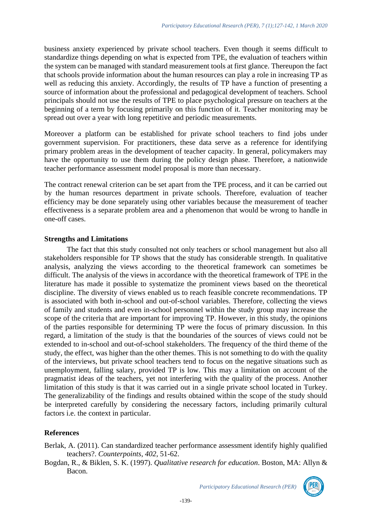business anxiety experienced by private school teachers. Even though it seems difficult to standardize things depending on what is expected from TPE, the evaluation of teachers within the system can be managed with standard measurement tools at first glance. Thereupon the fact that schools provide information about the human resources can play a role in increasing TP as well as reducing this anxiety. Accordingly, the results of TP have a function of presenting a source of information about the professional and pedagogical development of teachers. School principals should not use the results of TPE to place psychological pressure on teachers at the beginning of a term by focusing primarily on this function of it. Teacher monitoring may be spread out over a year with long repetitive and periodic measurements.

Moreover a platform can be established for private school teachers to find jobs under government supervision. For practitioners, these data serve as a reference for identifying primary problem areas in the development of teacher capacity. In general, policymakers may have the opportunity to use them during the policy design phase. Therefore, a nationwide teacher performance assessment model proposal is more than necessary.

The contract renewal criterion can be set apart from the TPE process, and it can be carried out by the human resources department in private schools. Therefore, evaluation of teacher efficiency may be done separately using other variables because the measurement of teacher effectiveness is a separate problem area and a phenomenon that would be wrong to handle in one-off cases.

### **Strengths and Limitations**

The fact that this study consulted not only teachers or school management but also all stakeholders responsible for TP shows that the study has considerable strength. In qualitative analysis, analyzing the views according to the theoretical framework can sometimes be difficult. The analysis of the views in accordance with the theoretical framework of TPE in the literature has made it possible to systematize the prominent views based on the theoretical discipline. The diversity of views enabled us to reach feasible concrete recommendations. TP is associated with both in-school and out-of-school variables. Therefore, collecting the views of family and students and even in-school personnel within the study group may increase the scope of the criteria that are important for improving TP. However, in this study, the opinions of the parties responsible for determining TP were the focus of primary discussion. In this regard, a limitation of the study is that the boundaries of the sources of views could not be extended to in-school and out-of-school stakeholders. The frequency of the third theme of the study, the effect, was higher than the other themes. This is not something to do with the quality of the interviews, but private school teachers tend to focus on the negative situations such as unemployment, falling salary, provided TP is low. This may a limitation on account of the pragmatist ideas of the teachers, yet not interfering with the quality of the process. Another limitation of this study is that it was carried out in a single private school located in Turkey. The generalizability of the findings and results obtained within the scope of the study should be interpreted carefully by considering the necessary factors, including primarily cultural factors i.e. the context in particular.

# **References**

Berlak, A. (2011). Can standardized teacher performance assessment identify highly qualified teachers?. *Counterpoints*, *402*, 51-62.

Bogdan, R., & Biklen, S. K. (1997). *Qualitative research for education*. Boston, MA: Allyn & Bacon.

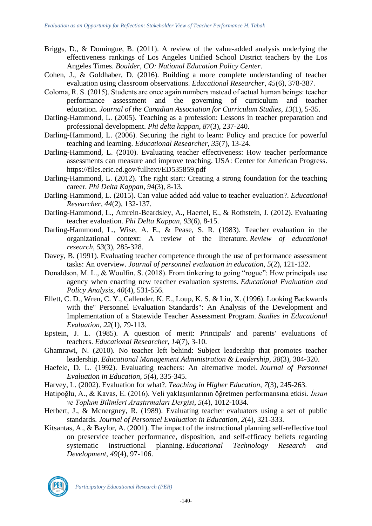- Briggs, D., & Domingue, B. (2011). A review of the value-added analysis underlying the effectiveness rankings of Los Angeles Unified School District teachers by the Los Angeles Times. *Boulder, CO: National Education Policy Center*.
- Cohen, J., & Goldhaber, D. (2016). Building a more complete understanding of teacher evaluation using classroom observations. *Educational Researcher*, *45*(6), 378-387.
- Coloma, R. S. (2015). Students are once again numbers ınstead of actual human beings: teacher performance assessment and the governing of curriculum and teacher education. *Journal of the Canadian Association for Curriculum Studies*, *13*(1), 5-35.
- Darling-Hammond, L. (2005). Teaching as a profession: Lessons in teacher preparation and professional development. *Phi delta kappan*, *87*(3), 237-240.
- Darling-Hammond, L. (2006). Securing the right to learn: Policy and practice for powerful teaching and learning. *Educational Researcher*, *35*(7), 13-24.
- Darling-Hammond, L. (2010). Evaluating teacher effectiveness: How teacher performance assessments can measure and improve teaching. USA: Center for American Progress. https://files.eric.ed.gov/fulltext/ED535859.pdf
- Darling-Hammond, L. (2012). The right start: Creating a strong foundation for the teaching career. *Phi Delta Kappan*, *94*(3), 8-13.
- Darling-Hammond, L. (2015). Can value added add value to teacher evaluation?. *Educational Researcher*, *44*(2), 132-137.
- Darling-Hammond, L., Amrein-Beardsley, A., Haertel, E., & Rothstein, J. (2012). Evaluating teacher evaluation. *Phi Delta Kappan*, *93*(6), 8-15.
- Darling-Hammond, L., Wise, A. E., & Pease, S. R. (1983). Teacher evaluation in the organizational context: A review of the literature. *Review of educational research*, *53*(3), 285-328.
- Davey, B. (1991). Evaluating teacher competence through the use of performance assessment tasks: An overview. *Journal of personnel evaluation in education*, *5*(2), 121-132.
- Donaldson, M. L., & Woulfin, S. (2018). From tinkering to going "rogue": How principals use agency when enacting new teacher evaluation systems. *Educational Evaluation and Policy Analysis*, *40*(4), 531-556.
- Ellett, C. D., Wren, C. Y., Callender, K. E., Loup, K. S. & Liu, X. (1996). Looking Backwards with the" Personnel Evaluation Standards": An Analysis of the Development and Implementation of a Statewide Teacher Assessment Program. *Studies in Educational Evaluation*, *22*(1), 79-113.
- Epstein, J. L. (1985). A question of merit: Principals' and parents' evaluations of teachers. *Educational Researcher*, *14*(7), 3-10.
- Ghamrawi, N. (2010). No teacher left behind: Subject leadership that promotes teacher leadership. *Educational Management Administration & Leadership*, *38*(3), 304-320.
- Haefele, D. L. (1992). Evaluating teachers: An alternative model. *Journal of Personnel Evaluation in Education*, *5*(4), 335-345.
- Harvey, L. (2002). Evaluation for what?. *Teaching in Higher Education*, *7*(3), 245-263.
- Hatipoğlu, A., & Kavas, E. (2016). Veli yaklaşımlarının öğretmen performansına etkisi. *İnsan ve Toplum Bilimleri Araştırmaları Dergisi*, *5*(4), 1012-1034.
- Herbert, J., & Mcnergney, R. (1989). Evaluating teacher evaluators using a set of public standards. *Journal of Personnel Evaluation in Education*, *2*(4), 321-333.
- Kitsantas, A., & Baylor, A. (2001). The impact of the instructional planning self-reflective tool on preservice teacher performance, disposition, and self-efficacy beliefs regarding systematic instructional planning. *Educational Technology Research and Development*, *49*(4), 97-106.

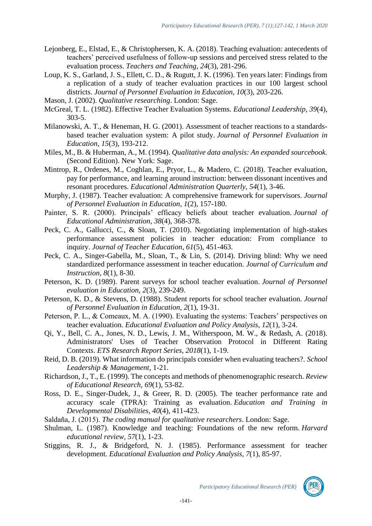- Lejonberg, E., Elstad, E., & Christophersen, K. A. (2018). Teaching evaluation: antecedents of teachers' perceived usefulness of follow-up sessions and perceived stress related to the evaluation process. *Teachers and Teaching*, *24*(3), 281-296.
- Loup, K. S., Garland, J. S., Ellett, C. D., & Rugutt, J. K. (1996). Ten years later: Findings from a replication of a study of teacher evaluation practices in our 100 largest school districts. *Journal of Personnel Evaluation in Education*, *10*(3), 203-226.
- Mason, J. (2002). *Qualitative researching*. London: Sage.
- McGreal, T. L. (1982). Effective Teacher Evaluation Systems. *Educational Leadership*, *39*(4), 303-5.
- Milanowski, A. T., & Heneman, H. G. (2001). Assessment of teacher reactions to a standardsbased teacher evaluation system: A pilot study. *Journal of Personnel Evaluation in Education*, *15*(3), 193-212.
- Miles, M., B. & Huberman, A., M. (1994). *Qualitative data analysis: An expanded sourcebook.* (Second Edition). New York: Sage.
- Mintrop, R., Ordenes, M., Coghlan, E., Pryor, L., & Madero, C. (2018). Teacher evaluation, pay for performance, and learning around instruction: between dissonant incentives and resonant procedures. *Educational Administration Quarterly*, *54*(1), 3-46.
- Murphy, J. (1987). Teacher evaluation: A comprehensive framework for supervisors. *Journal of Personnel Evaluation in Education*, *1*(2), 157-180.
- Painter, S. R. (2000). Principals' efficacy beliefs about teacher evaluation. *Journal of Educational Administration*, *38*(4), 368-378.
- Peck, C. A., Gallucci, C., & Sloan, T. (2010). Negotiating implementation of high-stakes performance assessment policies in teacher education: From compliance to inquiry. *Journal of Teacher Education*, *61*(5), 451-463.
- Peck, C. A., Singer-Gabella, M., Sloan, T., & Lin, S. (2014). Driving blind: Why we need standardized performance assessment in teacher education. *Journal of Curriculum and Instruction*, *8*(1), 8-30.
- Peterson, K. D. (1989). Parent surveys for school teacher evaluation. *Journal of Personnel evaluation in Education*, *2*(3), 239-249.
- Peterson, K. D., & Stevens, D. (1988). Student reports for school teacher evaluation. *Journal of Personnel Evaluation in Education*, *2*(1), 19-31.
- Peterson, P. L., & Comeaux, M. A. (1990). Evaluating the systems: Teachers' perspectives on teacher evaluation. *Educational Evaluation and Policy Analysis*, *12*(1), 3-24.
- Qi, Y., Bell, C. A., Jones, N. D., Lewis, J. M., Witherspoon, M. W., & Redash, A. (2018). Administrators' Uses of Teacher Observation Protocol in Different Rating Contexts. *ETS Research Report Series*, *2018*(1), 1-19.
- Reid, D. B. (2019). What information do principals consider when evaluating teachers?. *School Leadership & Management*, 1-21.
- Richardson, J., T., E. (1999). The concepts and methods of phenomenographic research. *Review of Educational Research, 69*(1), 53-82.
- Ross, D. E., Singer-Dudek, J., & Greer, R. D. (2005). The teacher performance rate and accuracy scale (TPRA): Training as evaluation. *Education and Training in Developmental Disabilities*, *40*(4), 411-423.
- Saldaña, J. (2015). *The coding manual for qualitative researchers*. London: Sage.
- Shulman, L. (1987). Knowledge and teaching: Foundations of the new reform. *Harvard educational review*, *57*(1), 1-23.
- Stiggins, R. J., & Bridgeford, N. J. (1985). Performance assessment for teacher development. *Educational Evaluation and Policy Analysis*, *7*(1), 85-97.